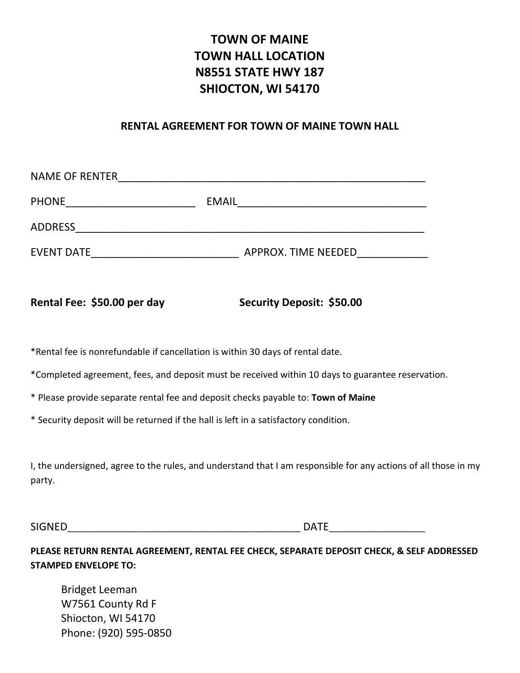## **TOWN OF MAINE TOWN HALL LOCATION N8551 STATE HWY 187 SHIOCTON, WI 54170**

## **RENTAL AGREEMENT FOR TOWN OF MAINE TOWN HALL**

| <b>NAME OF RENTER</b> |                     |
|-----------------------|---------------------|
| <b>PHONE</b>          | <b>EMAIL</b>        |
| <b>ADDRESS</b>        |                     |
| <b>EVENT DATE</b>     | APPROX. TIME NEEDED |

## Rental Fee: \$50.00 per day Security Deposit: \$50.00

\*Rental fee is nonrefundable if cancellation is within 30 days of rental date.

\*Completed agreement, fees, and deposit must be received within 10 days to guarantee reservation.

\* Please provide separate rental fee and deposit checks payable to: **Town of Maine**

\* Security deposit will be returned if the hall is left in a satisfactory condition.

I, the undersigned, agree to the rules, and understand that I am responsible for any actions of all those in my party.

 $S$ IGNED DATE

**PLEASE RETURN RENTAL AGREEMENT, RENTAL FEE CHECK, SEPARATE DEPOSIT CHECK, & SELF ADDRESSED STAMPED ENVELOPE TO:**

Bridget Leeman W7561 County Rd F Shiocton, WI 54170 Phone: (920) 595-0850